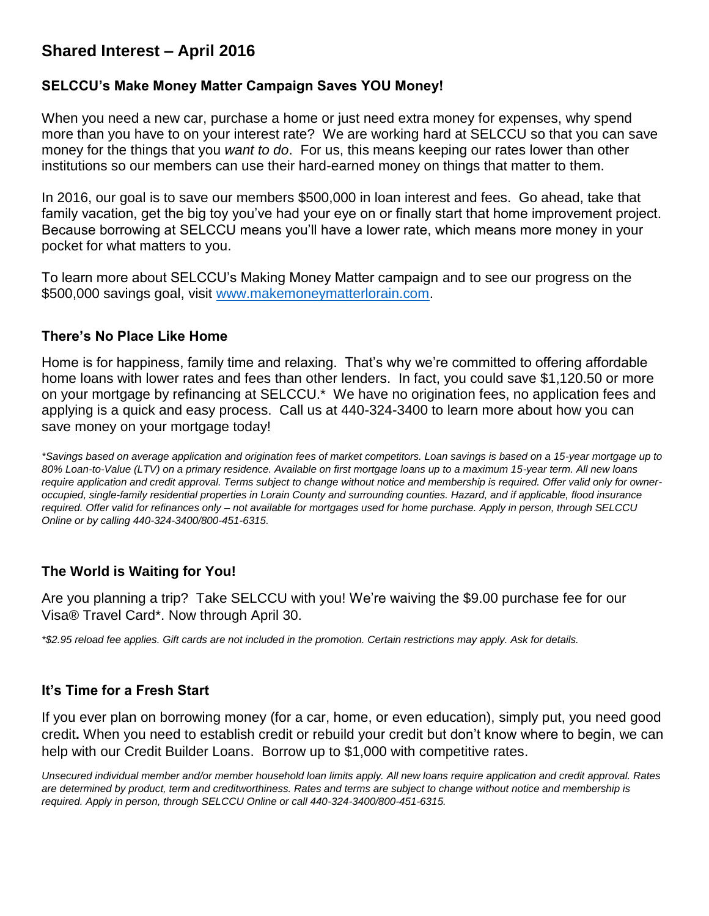# **Shared Interest – April 2016**

#### **SELCCU's Make Money Matter Campaign Saves YOU Money!**

When you need a new car, purchase a home or just need extra money for expenses, why spend more than you have to on your interest rate? We are working hard at SELCCU so that you can save money for the things that you *want to do*. For us, this means keeping our rates lower than other institutions so our members can use their hard-earned money on things that matter to them.

In 2016, our goal is to save our members \$500,000 in loan interest and fees. Go ahead, take that family vacation, get the big toy you've had your eye on or finally start that home improvement project. Because borrowing at SELCCU means you'll have a lower rate, which means more money in your pocket for what matters to you.

To learn more about SELCCU's Making Money Matter campaign and to see our progress on the \$500,000 savings goal, visit [www.makemoneymatterlorain.com.](http://www.makemoneymatterlorain.com/)

#### **There's No Place Like Home**

Home is for happiness, family time and relaxing. That's why we're committed to offering affordable home loans with lower rates and fees than other lenders. In fact, you could save \$1,120.50 or more on your mortgage by refinancing at SELCCU.\* We have no origination fees, no application fees and applying is a quick and easy process. Call us at 440-324-3400 to learn more about how you can save money on your mortgage today!

*\*Savings based on average application and origination fees of market competitors. Loan savings is based on a 15-year mortgage up to 80% Loan-to-Value (LTV) on a primary residence. Available on first mortgage loans up to a maximum 15-year term. All new loans require application and credit approval. Terms subject to change without notice and membership is required. Offer valid only for owneroccupied, single-family residential properties in Lorain County and surrounding counties. Hazard, and if applicable, flood insurance required. Offer valid for refinances only – not available for mortgages used for home purchase. Apply in person, through SELCCU Online or by calling 440-324-3400/800-451-6315.*

### **The World is Waiting for You!**

Are you planning a trip? Take SELCCU with you! We're waiving the \$9.00 purchase fee for our Visa® Travel Card\*. Now through April 30.

*\*\$2.95 reload fee applies. Gift cards are not included in the promotion. Certain restrictions may apply. Ask for details.*

### **It's Time for a Fresh Start**

If you ever plan on borrowing money (for a car, home, or even education), simply put, you need good credit**.** When you need to establish credit or rebuild your credit but don't know where to begin, we can help with our Credit Builder Loans. Borrow up to \$1,000 with competitive rates.

*Unsecured individual member and/or member household loan limits apply. All new loans require application and credit approval. Rates are determined by product, term and creditworthiness. Rates and terms are subject to change without notice and membership is required. Apply in person, through SELCCU Online or call 440-324-3400/800-451-6315.*